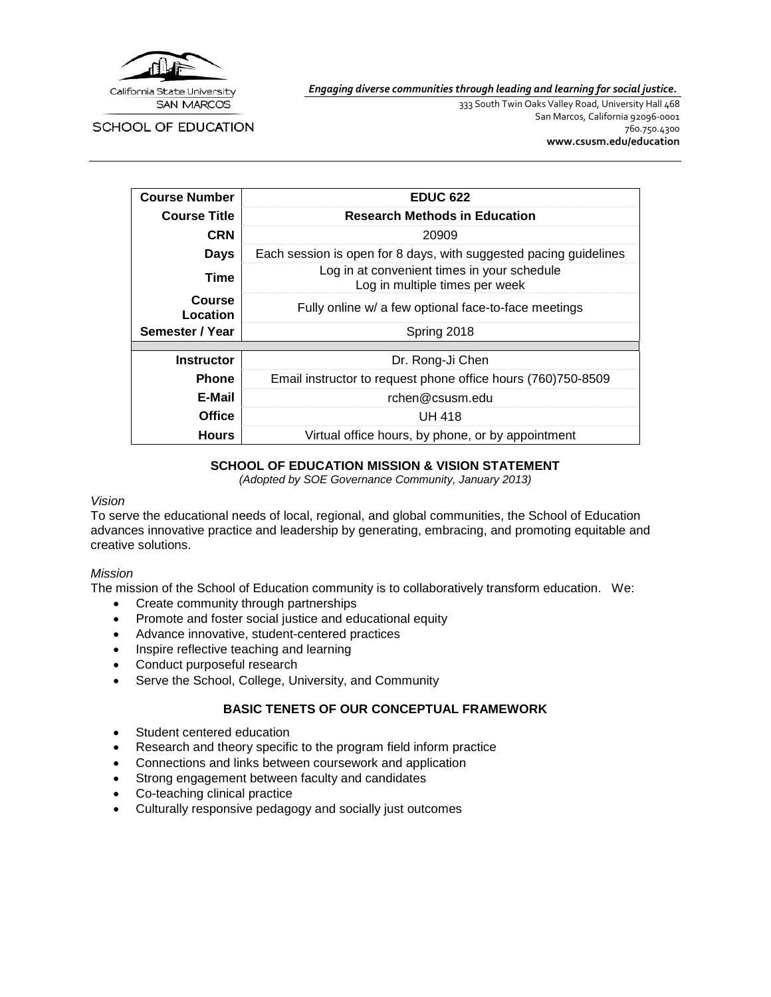

*Engaging diverse communities through leading and learning for social justice.*

SCHOOL OF EDUCATION

333 South Twin Oaks Valley Road, University Hall 468 San Marcos, California 92096-0001 760.750.4300 **[www.csusm.edu/education](http://www.csusm.edu/education)**

| <b>Course Number</b> | <b>EDUC 622</b>                                                               |  |  |
|----------------------|-------------------------------------------------------------------------------|--|--|
| <b>Course Title</b>  | <b>Research Methods in Education</b>                                          |  |  |
| <b>CRN</b>           | 20909                                                                         |  |  |
| Days                 | Each session is open for 8 days, with suggested pacing guidelines             |  |  |
| Time                 | Log in at convenient times in your schedule<br>Log in multiple times per week |  |  |
| Course<br>Location   | Fully online w/ a few optional face-to-face meetings                          |  |  |
| Semester / Year      | Spring 2018                                                                   |  |  |
|                      |                                                                               |  |  |
| <b>Instructor</b>    | Dr. Rong-Ji Chen                                                              |  |  |
| <b>Phone</b>         | Email instructor to request phone office hours (760)750-8509                  |  |  |
| E-Mail               | rchen@csusm.edu                                                               |  |  |
| <b>Office</b>        | <b>UH 418</b>                                                                 |  |  |
| Hours                | Virtual office hours, by phone, or by appointment                             |  |  |

#### **SCHOOL OF EDUCATION MISSION & VISION STATEMENT**

*(Adopted by SOE Governance Community, January 2013)*

#### *Vision*

To serve the educational needs of local, regional, and global communities, the School of Education advances innovative practice and leadership by generating, embracing, and promoting equitable and creative solutions.

#### *Mission*

The mission of the School of Education community is to collaboratively transform education. We:

- Create community through partnerships
- Promote and foster social justice and educational equity
- Advance innovative, student-centered practices
- Inspire reflective teaching and learning
- Conduct purposeful research
- Serve the School, College, University, and Community

### **BASIC TENETS OF OUR CONCEPTUAL FRAMEWORK**

- Student centered education
- Research and theory specific to the program field inform practice
- Connections and links between coursework and application
- Strong engagement between faculty and candidates
- Co-teaching clinical practice
- Culturally responsive pedagogy and socially just outcomes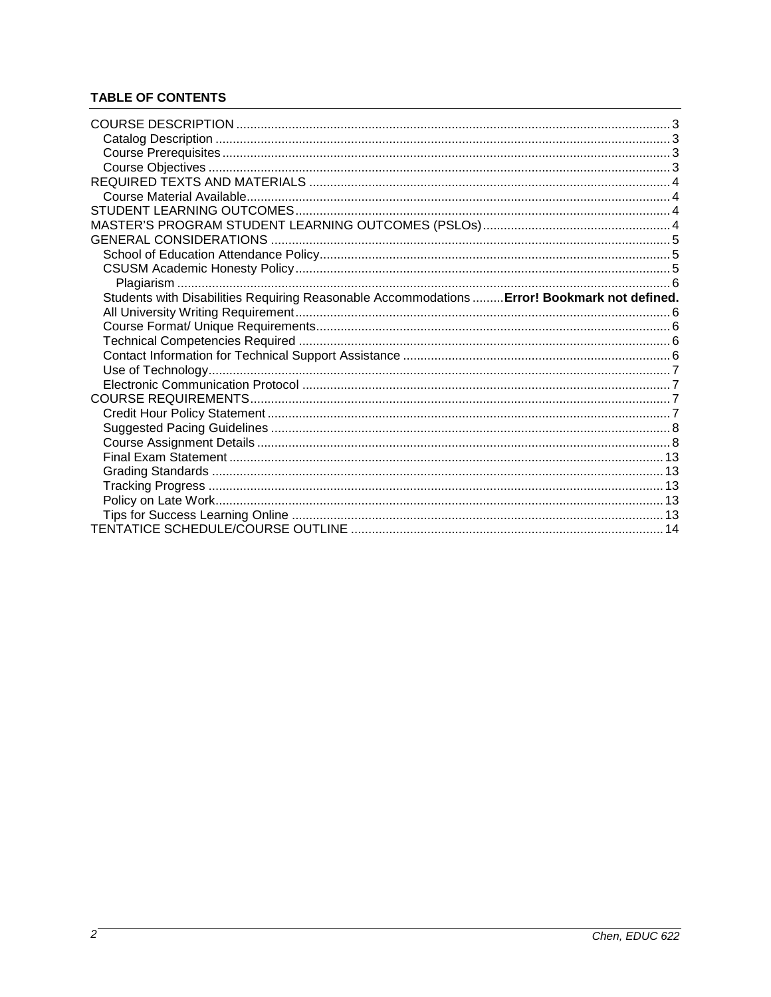# **TABLE OF CONTENTS**

| Students with Disabilities Requiring Reasonable Accommodations  Error! Bookmark not defined. |  |
|----------------------------------------------------------------------------------------------|--|
|                                                                                              |  |
|                                                                                              |  |
|                                                                                              |  |
|                                                                                              |  |
|                                                                                              |  |
|                                                                                              |  |
|                                                                                              |  |
|                                                                                              |  |
|                                                                                              |  |
|                                                                                              |  |
|                                                                                              |  |
|                                                                                              |  |
|                                                                                              |  |
|                                                                                              |  |
|                                                                                              |  |
|                                                                                              |  |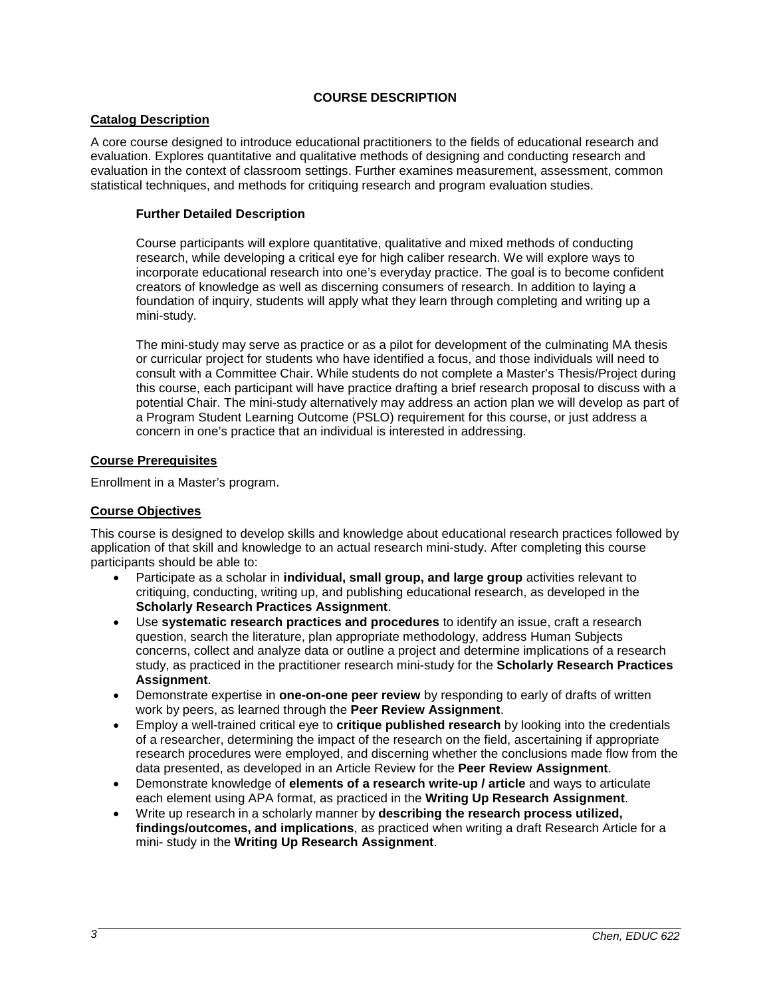### **COURSE DESCRIPTION**

#### **Catalog Description**

A core course designed to introduce educational practitioners to the fields of educational research and evaluation. Explores quantitative and qualitative methods of designing and conducting research and evaluation in the context of classroom settings. Further examines measurement, assessment, common statistical techniques, and methods for critiquing research and program evaluation studies.

#### **Further Detailed Description**

Course participants will explore quantitative, qualitative and mixed methods of conducting research, while developing a critical eye for high caliber research. We will explore ways to incorporate educational research into one's everyday practice. The goal is to become confident creators of knowledge as well as discerning consumers of research. In addition to laying a foundation of inquiry, students will apply what they learn through completing and writing up a mini-study.

The mini-study may serve as practice or as a pilot for development of the culminating MA thesis or curricular project for students who have identified a focus, and those individuals will need to consult with a Committee Chair. While students do not complete a Master's Thesis/Project during this course, each participant will have practice drafting a brief research proposal to discuss with a potential Chair. The mini-study alternatively may address an action plan we will develop as part of a Program Student Learning Outcome (PSLO) requirement for this course, or just address a concern in one's practice that an individual is interested in addressing.

#### **Course Prerequisites**

Enrollment in a Master's program.

#### **Course Objectives**

This course is designed to develop skills and knowledge about educational research practices followed by application of that skill and knowledge to an actual research mini-study. After completing this course participants should be able to:

- Participate as a scholar in **individual, small group, and large group** activities relevant to critiquing, conducting, writing up, and publishing educational research, as developed in the **Scholarly Research Practices Assignment**.
- Use **systematic research practices and procedures** to identify an issue, craft a research question, search the literature, plan appropriate methodology, address Human Subjects concerns, collect and analyze data or outline a project and determine implications of a research study, as practiced in the practitioner research mini-study for the **Scholarly Research Practices Assignment**.
- Demonstrate expertise in **one-on-one peer review** by responding to early of drafts of written work by peers, as learned through the **Peer Review Assignment**.
- Employ a well-trained critical eye to **critique published research** by looking into the credentials of a researcher, determining the impact of the research on the field, ascertaining if appropriate research procedures were employed, and discerning whether the conclusions made flow from the data presented, as developed in an Article Review for the **Peer Review Assignment**.
- Demonstrate knowledge of **elements of a research write-up / article** and ways to articulate each element using APA format, as practiced in the **Writing Up Research Assignment**.
- Write up research in a scholarly manner by **describing the research process utilized, findings/outcomes, and implications**, as practiced when writing a draft Research Article for a mini- study in the **Writing Up Research Assignment**.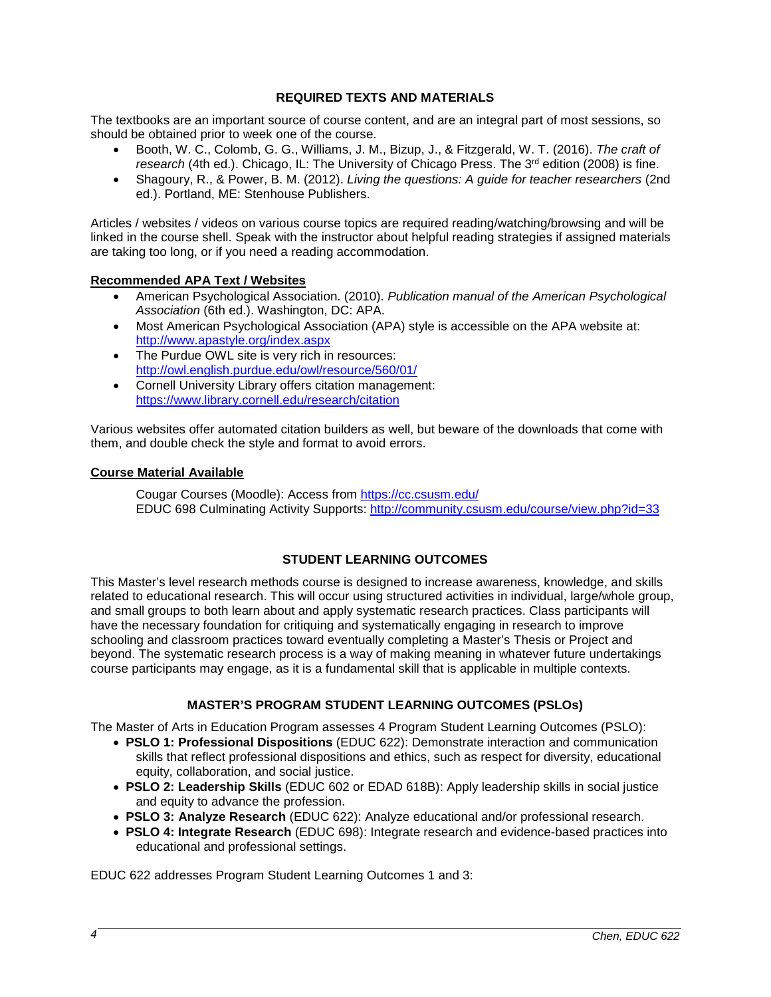#### **REQUIRED TEXTS AND MATERIALS**

The textbooks are an important source of course content, and are an integral part of most sessions, so should be obtained prior to week one of the course.

- Booth, W. C., Colomb, G. G., Williams, J. M., Bizup, J., & Fitzgerald, W. T. (2016). *The craft of research* (4th ed.). Chicago, IL: The University of Chicago Press. The 3rd edition (2008) is fine.
- Shagoury, R., & Power, B. M. (2012). *Living the questions: A guide for teacher researchers* (2nd ed.). Portland, ME: Stenhouse Publishers.

Articles / websites / videos on various course topics are required reading/watching/browsing and will be linked in the course shell. Speak with the instructor about helpful reading strategies if assigned materials are taking too long, or if you need a reading accommodation.

#### **Recommended APA Text / Websites**

- American Psychological Association. (2010). *Publication manual of the American Psychological Association* (6th ed.). Washington, DC: APA.
- Most American Psychological Association (APA) style is accessible on the APA website at: <http://www.apastyle.org/index.aspx>
- The Purdue OWL site is very rich in resources: <http://owl.english.purdue.edu/owl/resource/560/01/>
- Cornell University Library offers citation management: <https://www.library.cornell.edu/research/citation>

Various websites offer automated citation builders as well, but beware of the downloads that come with them, and double check the style and format to avoid errors.

#### **Course Material Available**

Cougar Courses (Moodle): Access from<https://cc.csusm.edu/> EDUC 698 Culminating Activity Supports:<http://community.csusm.edu/course/view.php?id=33>

### **STUDENT LEARNING OUTCOMES**

This Master's level research methods course is designed to increase awareness, knowledge, and skills related to educational research. This will occur using structured activities in individual, large/whole group, and small groups to both learn about and apply systematic research practices. Class participants will have the necessary foundation for critiquing and systematically engaging in research to improve schooling and classroom practices toward eventually completing a Master's Thesis or Project and beyond. The systematic research process is a way of making meaning in whatever future undertakings course participants may engage, as it is a fundamental skill that is applicable in multiple contexts.

### **MASTER'S PROGRAM STUDENT LEARNING OUTCOMES (PSLOs)**

The Master of Arts in Education Program assesses 4 Program Student Learning Outcomes (PSLO):

- **PSLO 1: Professional Dispositions** (EDUC 622): Demonstrate interaction and communication skills that reflect professional dispositions and ethics, such as respect for diversity, educational equity, collaboration, and social justice.
- **PSLO 2: Leadership Skills** (EDUC 602 or EDAD 618B): Apply leadership skills in social justice and equity to advance the profession.
- **PSLO 3: Analyze Research** (EDUC 622): Analyze educational and/or professional research.
- **PSLO 4: Integrate Research** (EDUC 698): Integrate research and evidence-based practices into educational and professional settings.

EDUC 622 addresses Program Student Learning Outcomes 1 and 3: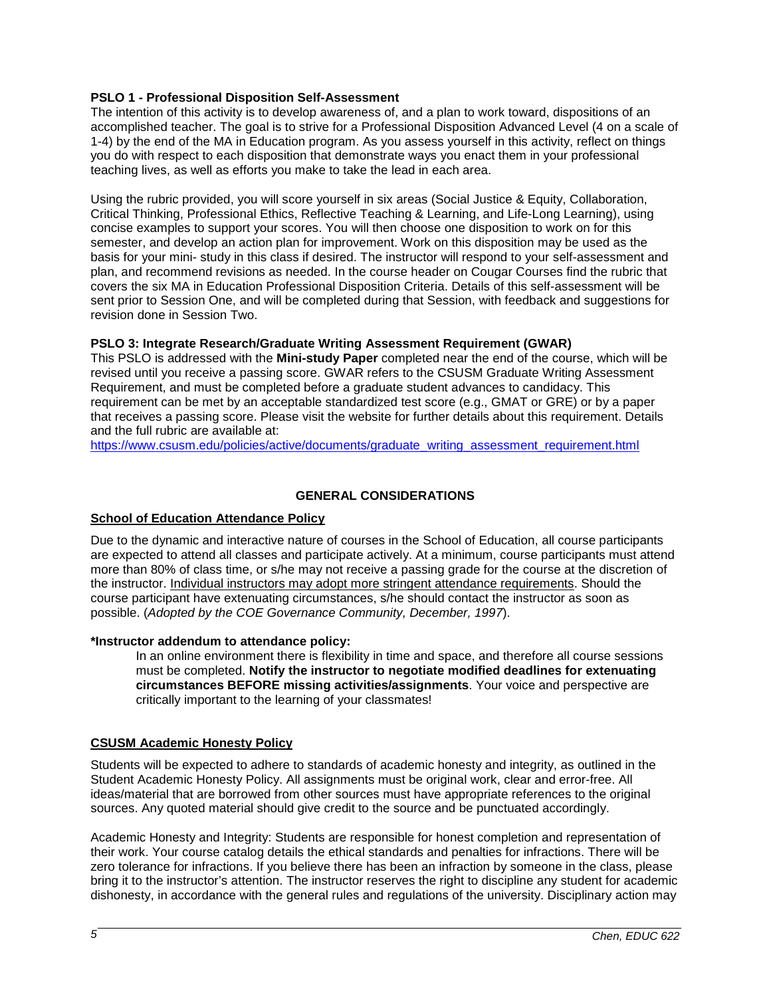#### **PSLO 1 - Professional Disposition Self-Assessment**

The intention of this activity is to develop awareness of, and a plan to work toward, dispositions of an accomplished teacher. The goal is to strive for a Professional Disposition Advanced Level (4 on a scale of 1-4) by the end of the MA in Education program. As you assess yourself in this activity, reflect on things you do with respect to each disposition that demonstrate ways you enact them in your professional teaching lives, as well as efforts you make to take the lead in each area.

Using the rubric provided, you will score yourself in six areas (Social Justice & Equity, Collaboration, Critical Thinking, Professional Ethics, Reflective Teaching & Learning, and Life-Long Learning), using concise examples to support your scores. You will then choose one disposition to work on for this semester, and develop an action plan for improvement. Work on this disposition may be used as the basis for your mini- study in this class if desired. The instructor will respond to your self-assessment and plan, and recommend revisions as needed. In the course header on Cougar Courses find the rubric that covers the six MA in Education Professional Disposition Criteria. Details of this self-assessment will be sent prior to Session One, and will be completed during that Session, with feedback and suggestions for revision done in Session Two.

#### **PSLO 3: Integrate Research/Graduate Writing Assessment Requirement (GWAR)**

This PSLO is addressed with the **Mini-study Paper** completed near the end of the course, which will be revised until you receive a passing score. GWAR refers to the CSUSM Graduate Writing Assessment Requirement, and must be completed before a graduate student advances to candidacy. This requirement can be met by an acceptable standardized test score (e.g., GMAT or GRE) or by a paper that receives a passing score. Please visit the website for further details about this requirement. Details and the full rubric are available at:

[https://www.csusm.edu/policies/active/documents/graduate\\_writing\\_assessment\\_requirement.html](https://www.csusm.edu/policies/active/documents/graduate_writing_assessment_requirement.html)

### **GENERAL CONSIDERATIONS**

#### **School of Education Attendance Policy**

Due to the dynamic and interactive nature of courses in the School of Education, all course participants are expected to attend all classes and participate actively. At a minimum, course participants must attend more than 80% of class time, or s/he may not receive a passing grade for the course at the discretion of the instructor. Individual instructors may adopt more stringent attendance requirements. Should the course participant have extenuating circumstances, s/he should contact the instructor as soon as possible. (*Adopted by the COE Governance Community, December, 1997*).

#### **\*Instructor addendum to attendance policy:**

In an online environment there is flexibility in time and space, and therefore all course sessions must be completed. **Notify the instructor to negotiate modified deadlines for extenuating circumstances BEFORE missing activities/assignments**. Your voice and perspective are critically important to the learning of your classmates!

#### **CSUSM Academic Honesty Policy**

Students will be expected to adhere to standards of academic honesty and integrity, as outlined in the Student Academic Honesty Policy. All assignments must be original work, clear and error-free. All ideas/material that are borrowed from other sources must have appropriate references to the original sources. Any quoted material should give credit to the source and be punctuated accordingly.

Academic Honesty and Integrity: Students are responsible for honest completion and representation of their work. Your course catalog details the ethical standards and penalties for infractions. There will be zero tolerance for infractions. If you believe there has been an infraction by someone in the class, please bring it to the instructor's attention. The instructor reserves the right to discipline any student for academic dishonesty, in accordance with the general rules and regulations of the university. Disciplinary action may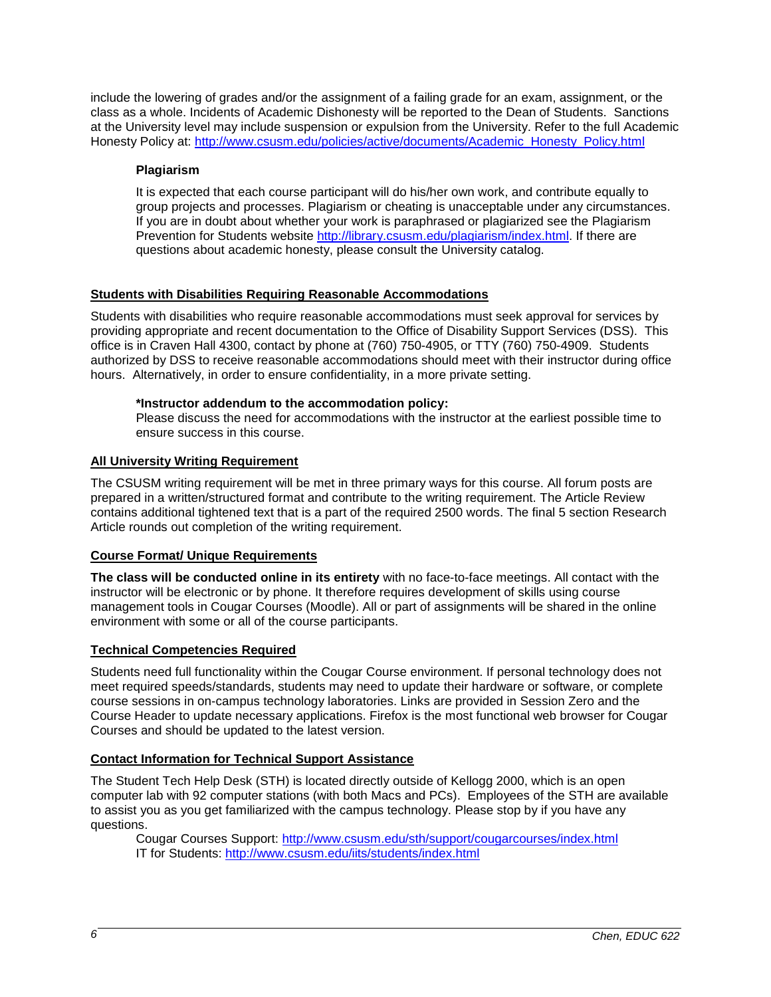include the lowering of grades and/or the assignment of a failing grade for an exam, assignment, or the class as a whole. Incidents of Academic Dishonesty will be reported to the Dean of Students. Sanctions at the University level may include suspension or expulsion from the University. Refer to the full Academic Honesty Policy at: [http://www.csusm.edu/policies/active/documents/Academic\\_Honesty\\_Policy.html](http://www.csusm.edu/policies/active/documents/Academic_Honesty_Policy.html)

### **Plagiarism**

It is expected that each course participant will do his/her own work, and contribute equally to group projects and processes. Plagiarism or cheating is unacceptable under any circumstances. If you are in doubt about whether your work is paraphrased or plagiarized see the Plagiarism Prevention for Students website [http://library.csusm.edu/plagiarism/index.html.](http://library.csusm.edu/plagiarism/index.html) If there are questions about academic honesty, please consult the University catalog.

## **Students with Disabilities Requiring Reasonable Accommodations**

Students with disabilities who require reasonable accommodations must seek approval for services by providing appropriate and recent documentation to the Office of Disability Support Services (DSS). This office is in Craven Hall 4300, contact by phone at (760) 750-4905, or TTY (760) 750-4909. Students authorized by DSS to receive reasonable accommodations should meet with their instructor during office hours. Alternatively, in order to ensure confidentiality, in a more private setting.

### **\*Instructor addendum to the accommodation policy:**

Please discuss the need for accommodations with the instructor at the earliest possible time to ensure success in this course.

### **All University Writing Requirement**

The CSUSM writing requirement will be met in three primary ways for this course. All forum posts are prepared in a written/structured format and contribute to the writing requirement. The Article Review contains additional tightened text that is a part of the required 2500 words. The final 5 section Research Article rounds out completion of the writing requirement.

### **Course Format/ Unique Requirements**

**The class will be conducted online in its entirety** with no face-to-face meetings. All contact with the instructor will be electronic or by phone. It therefore requires development of skills using course management tools in Cougar Courses (Moodle). All or part of assignments will be shared in the online environment with some or all of the course participants.

### **Technical Competencies Required**

Students need full functionality within the Cougar Course environment. If personal technology does not meet required speeds/standards, students may need to update their hardware or software, or complete course sessions in on-campus technology laboratories. Links are provided in Session Zero and the Course Header to update necessary applications. Firefox is the most functional web browser for Cougar Courses and should be updated to the latest version.

### **Contact Information for Technical Support Assistance**

The Student Tech Help Desk (STH) is located directly outside of Kellogg 2000, which is an open computer lab with 92 computer stations (with both Macs and PCs). Employees of the STH are available to assist you as you get familiarized with the campus technology. Please stop by if you have any questions.

Cougar Courses Support: <http://www.csusm.edu/sth/support/cougarcourses/index.html> IT for Students: <http://www.csusm.edu/iits/students/index.html>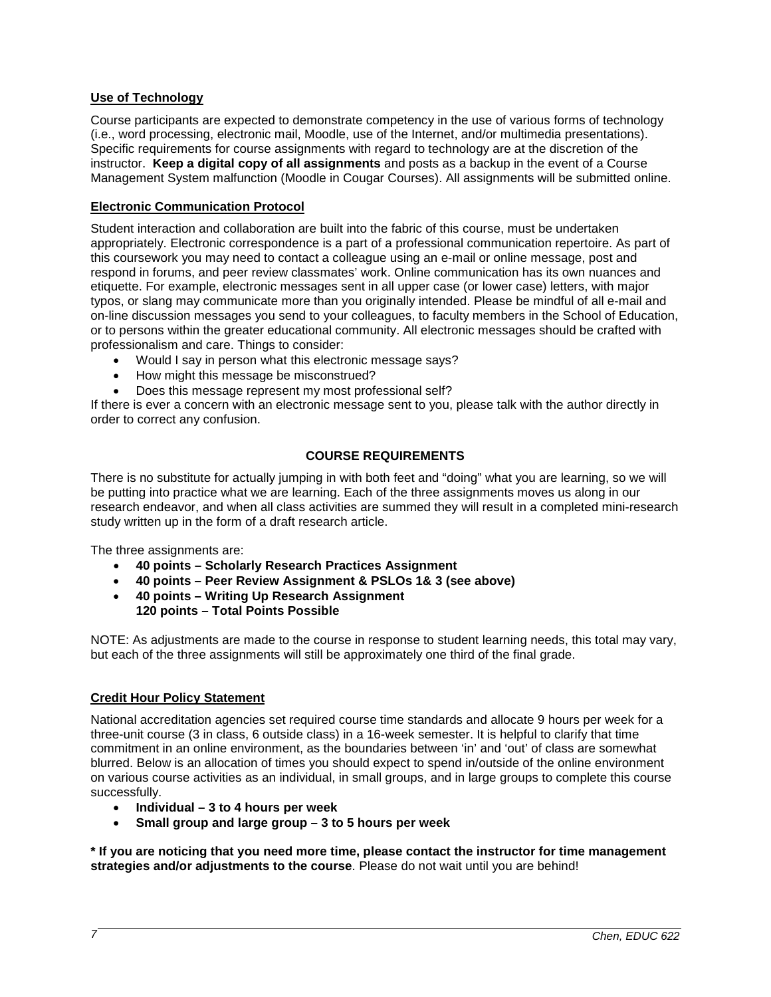### **Use of Technology**

Course participants are expected to demonstrate competency in the use of various forms of technology (i.e., word processing, electronic mail, Moodle, use of the Internet, and/or multimedia presentations). Specific requirements for course assignments with regard to technology are at the discretion of the instructor. **Keep a digital copy of all assignments** and posts as a backup in the event of a Course Management System malfunction (Moodle in Cougar Courses). All assignments will be submitted online.

### **Electronic Communication Protocol**

Student interaction and collaboration are built into the fabric of this course, must be undertaken appropriately. Electronic correspondence is a part of a professional communication repertoire. As part of this coursework you may need to contact a colleague using an e-mail or online message, post and respond in forums, and peer review classmates' work. Online communication has its own nuances and etiquette. For example, electronic messages sent in all upper case (or lower case) letters, with major typos, or slang may communicate more than you originally intended. Please be mindful of all e-mail and on-line discussion messages you send to your colleagues, to faculty members in the School of Education, or to persons within the greater educational community. All electronic messages should be crafted with professionalism and care. Things to consider:

- Would I say in person what this electronic message says?
- How might this message be misconstrued?
- Does this message represent my most professional self?

If there is ever a concern with an electronic message sent to you, please talk with the author directly in order to correct any confusion.

### **COURSE REQUIREMENTS**

There is no substitute for actually jumping in with both feet and "doing" what you are learning, so we will be putting into practice what we are learning. Each of the three assignments moves us along in our research endeavor, and when all class activities are summed they will result in a completed mini-research study written up in the form of a draft research article.

The three assignments are:

- **40 points – Scholarly Research Practices Assignment**
- **40 points – Peer Review Assignment & PSLOs 1& 3 (see above)**
- **40 points – Writing Up Research Assignment 120 points – Total Points Possible**

NOTE: As adjustments are made to the course in response to student learning needs, this total may vary, but each of the three assignments will still be approximately one third of the final grade.

#### **Credit Hour Policy Statement**

National accreditation agencies set required course time standards and allocate 9 hours per week for a three-unit course (3 in class, 6 outside class) in a 16-week semester. It is helpful to clarify that time commitment in an online environment, as the boundaries between 'in' and 'out' of class are somewhat blurred. Below is an allocation of times you should expect to spend in/outside of the online environment on various course activities as an individual, in small groups, and in large groups to complete this course successfully.

- **Individual – 3 to 4 hours per week**
- **Small group and large group – 3 to 5 hours per week**

**\* If you are noticing that you need more time, please contact the instructor for time management strategies and/or adjustments to the course**. Please do not wait until you are behind!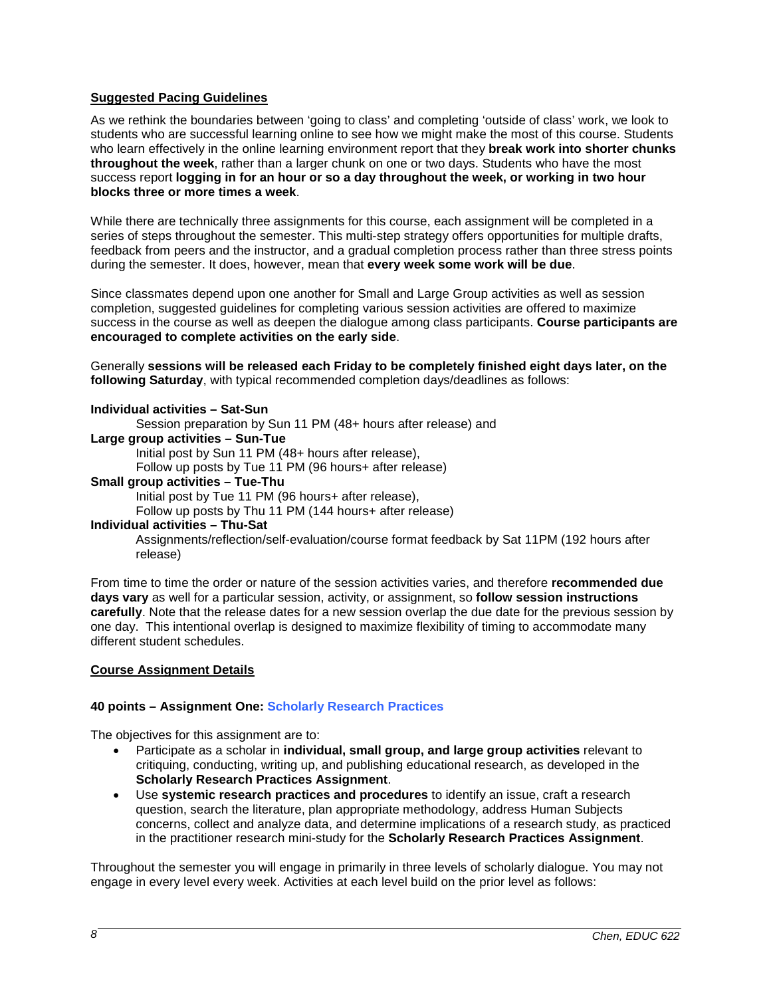#### **Suggested Pacing Guidelines**

As we rethink the boundaries between 'going to class' and completing 'outside of class' work, we look to students who are successful learning online to see how we might make the most of this course. Students who learn effectively in the online learning environment report that they **break work into shorter chunks throughout the week**, rather than a larger chunk on one or two days. Students who have the most success report **logging in for an hour or so a day throughout the week, or working in two hour blocks three or more times a week**.

While there are technically three assignments for this course, each assignment will be completed in a series of steps throughout the semester. This multi-step strategy offers opportunities for multiple drafts, feedback from peers and the instructor, and a gradual completion process rather than three stress points during the semester. It does, however, mean that **every week some work will be due**.

Since classmates depend upon one another for Small and Large Group activities as well as session completion, suggested guidelines for completing various session activities are offered to maximize success in the course as well as deepen the dialogue among class participants. **Course participants are encouraged to complete activities on the early side**.

Generally **sessions will be released each Friday to be completely finished eight days later, on the following Saturday**, with typical recommended completion days/deadlines as follows:

#### **Individual activities – Sat-Sun**

Session preparation by Sun 11 PM (48+ hours after release) and

#### **Large group activities – Sun-Tue**

Initial post by Sun 11 PM (48+ hours after release),

Follow up posts by Tue 11 PM (96 hours+ after release)

**Small group activities – Tue-Thu**

Initial post by Tue 11 PM (96 hours+ after release),

Follow up posts by Thu 11 PM (144 hours+ after release)

#### **Individual activities – Thu-Sat**

Assignments/reflection/self-evaluation/course format feedback by Sat 11PM (192 hours after release)

From time to time the order or nature of the session activities varies, and therefore **recommended due days vary** as well for a particular session, activity, or assignment, so **follow session instructions carefully**. Note that the release dates for a new session overlap the due date for the previous session by one day. This intentional overlap is designed to maximize flexibility of timing to accommodate many different student schedules.

#### **Course Assignment Details**

#### **40 points – Assignment One: Scholarly Research Practices**

The objectives for this assignment are to:

- Participate as a scholar in **individual, small group, and large group activities** relevant to critiquing, conducting, writing up, and publishing educational research, as developed in the **Scholarly Research Practices Assignment**.
- Use **systemic research practices and procedures** to identify an issue, craft a research question, search the literature, plan appropriate methodology, address Human Subjects concerns, collect and analyze data, and determine implications of a research study, as practiced in the practitioner research mini-study for the **Scholarly Research Practices Assignment**.

Throughout the semester you will engage in primarily in three levels of scholarly dialogue. You may not engage in every level every week. Activities at each level build on the prior level as follows: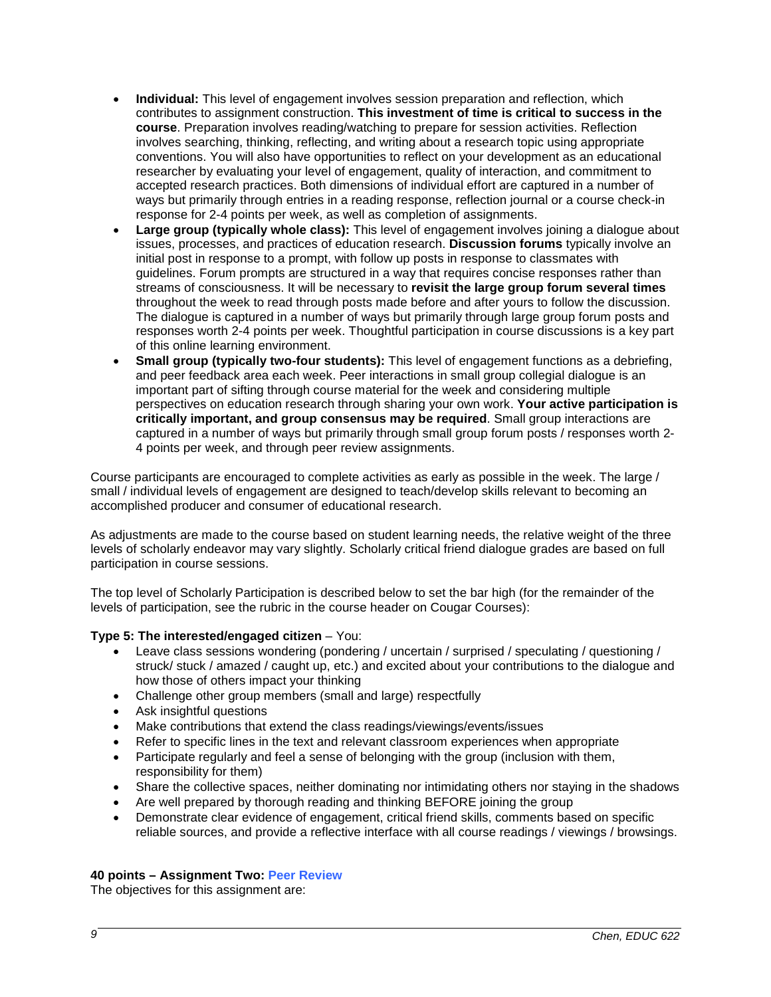- **Individual:** This level of engagement involves session preparation and reflection, which contributes to assignment construction. **This investment of time is critical to success in the course**. Preparation involves reading/watching to prepare for session activities. Reflection involves searching, thinking, reflecting, and writing about a research topic using appropriate conventions. You will also have opportunities to reflect on your development as an educational researcher by evaluating your level of engagement, quality of interaction, and commitment to accepted research practices. Both dimensions of individual effort are captured in a number of ways but primarily through entries in a reading response, reflection journal or a course check-in response for 2-4 points per week, as well as completion of assignments.
- **Large group (typically whole class):** This level of engagement involves joining a dialogue about issues, processes, and practices of education research. **Discussion forums** typically involve an initial post in response to a prompt, with follow up posts in response to classmates with guidelines. Forum prompts are structured in a way that requires concise responses rather than streams of consciousness. It will be necessary to **revisit the large group forum several times** throughout the week to read through posts made before and after yours to follow the discussion. The dialogue is captured in a number of ways but primarily through large group forum posts and responses worth 2-4 points per week. Thoughtful participation in course discussions is a key part of this online learning environment.
- **Small group (typically two-four students):** This level of engagement functions as a debriefing, and peer feedback area each week. Peer interactions in small group collegial dialogue is an important part of sifting through course material for the week and considering multiple perspectives on education research through sharing your own work. **Your active participation is critically important, and group consensus may be required**. Small group interactions are captured in a number of ways but primarily through small group forum posts / responses worth 2- 4 points per week, and through peer review assignments.

Course participants are encouraged to complete activities as early as possible in the week. The large / small / individual levels of engagement are designed to teach/develop skills relevant to becoming an accomplished producer and consumer of educational research.

As adjustments are made to the course based on student learning needs, the relative weight of the three levels of scholarly endeavor may vary slightly. Scholarly critical friend dialogue grades are based on full participation in course sessions.

The top level of Scholarly Participation is described below to set the bar high (for the remainder of the levels of participation, see the rubric in the course header on Cougar Courses):

### **Type 5: The interested/engaged citizen** – You:

- Leave class sessions wondering (pondering / uncertain / surprised / speculating / questioning / struck/ stuck / amazed / caught up, etc.) and excited about your contributions to the dialogue and how those of others impact your thinking
- Challenge other group members (small and large) respectfully
- Ask insightful questions
- Make contributions that extend the class readings/viewings/events/issues
- Refer to specific lines in the text and relevant classroom experiences when appropriate
- Participate regularly and feel a sense of belonging with the group (inclusion with them, responsibility for them)
- Share the collective spaces, neither dominating nor intimidating others nor staying in the shadows
- Are well prepared by thorough reading and thinking BEFORE joining the group
- Demonstrate clear evidence of engagement, critical friend skills, comments based on specific reliable sources, and provide a reflective interface with all course readings / viewings / browsings.

#### **40 points – Assignment Two: Peer Review**

The objectives for this assignment are: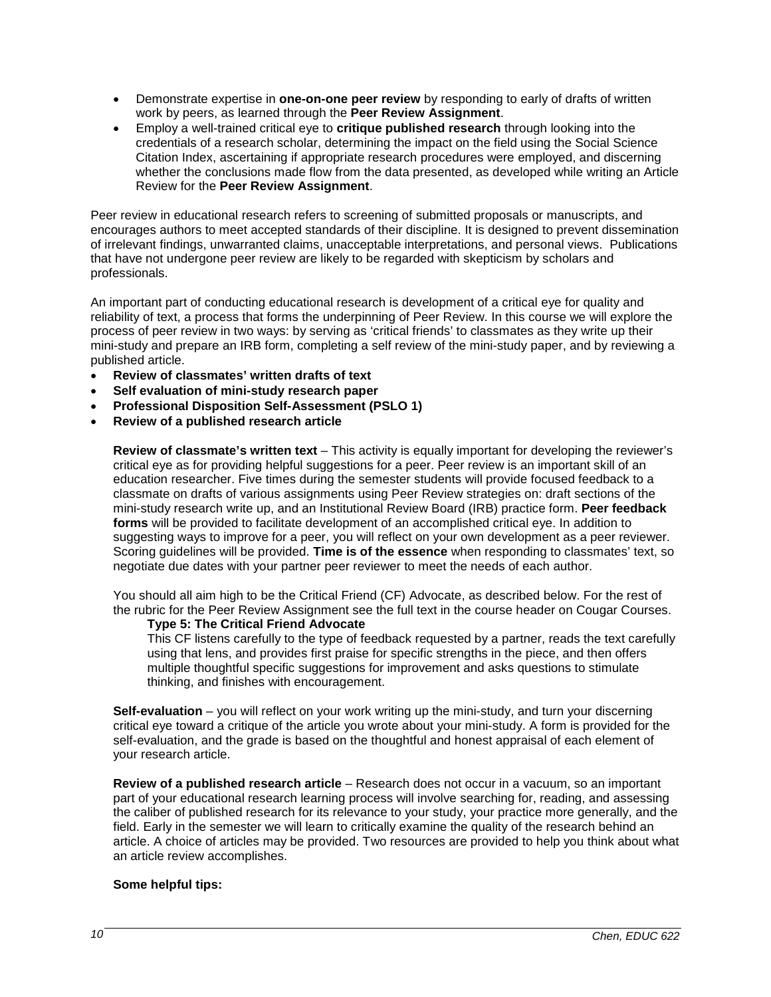- Demonstrate expertise in **one-on-one peer review** by responding to early of drafts of written work by peers, as learned through the **Peer Review Assignment**.
- Employ a well-trained critical eye to **critique published research** through looking into the credentials of a research scholar, determining the impact on the field using the Social Science Citation Index, ascertaining if appropriate research procedures were employed, and discerning whether the conclusions made flow from the data presented, as developed while writing an Article Review for the **Peer Review Assignment**.

Peer review in educational research refers to screening of submitted proposals or manuscripts, and encourages authors to meet accepted standards of their discipline. It is designed to prevent dissemination of irrelevant findings, unwarranted claims, unacceptable interpretations, and personal views. Publications that have not undergone peer review are likely to be regarded with skepticism by scholars and professionals.

An important part of conducting educational research is development of a critical eye for quality and reliability of text, a process that forms the underpinning of Peer Review. In this course we will explore the process of peer review in two ways: by serving as 'critical friends' to classmates as they write up their mini-study and prepare an IRB form, completing a self review of the mini-study paper, and by reviewing a published article.

- **Review of classmates' written drafts of text**
- **Self evaluation of mini-study research paper**
- **Professional Disposition Self-Assessment (PSLO 1)**
- **Review of a published research article**

**Review of classmate's written text** – This activity is equally important for developing the reviewer's critical eye as for providing helpful suggestions for a peer. Peer review is an important skill of an education researcher. Five times during the semester students will provide focused feedback to a classmate on drafts of various assignments using Peer Review strategies on: draft sections of the mini-study research write up, and an Institutional Review Board (IRB) practice form. **Peer feedback forms** will be provided to facilitate development of an accomplished critical eye. In addition to suggesting ways to improve for a peer, you will reflect on your own development as a peer reviewer. Scoring guidelines will be provided. **Time is of the essence** when responding to classmates' text, so negotiate due dates with your partner peer reviewer to meet the needs of each author.

You should all aim high to be the Critical Friend (CF) Advocate, as described below. For the rest of the rubric for the Peer Review Assignment see the full text in the course header on Cougar Courses.

#### **Type 5: The Critical Friend Advocate**

This CF listens carefully to the type of feedback requested by a partner, reads the text carefully using that lens, and provides first praise for specific strengths in the piece, and then offers multiple thoughtful specific suggestions for improvement and asks questions to stimulate thinking, and finishes with encouragement.

**Self-evaluation** – you will reflect on your work writing up the mini-study, and turn your discerning critical eye toward a critique of the article you wrote about your mini-study. A form is provided for the self-evaluation, and the grade is based on the thoughtful and honest appraisal of each element of your research article.

**Review of a published research article** – Research does not occur in a vacuum, so an important part of your educational research learning process will involve searching for, reading, and assessing the caliber of published research for its relevance to your study, your practice more generally, and the field. Early in the semester we will learn to critically examine the quality of the research behind an article. A choice of articles may be provided. Two resources are provided to help you think about what an article review accomplishes.

### **Some helpful tips:**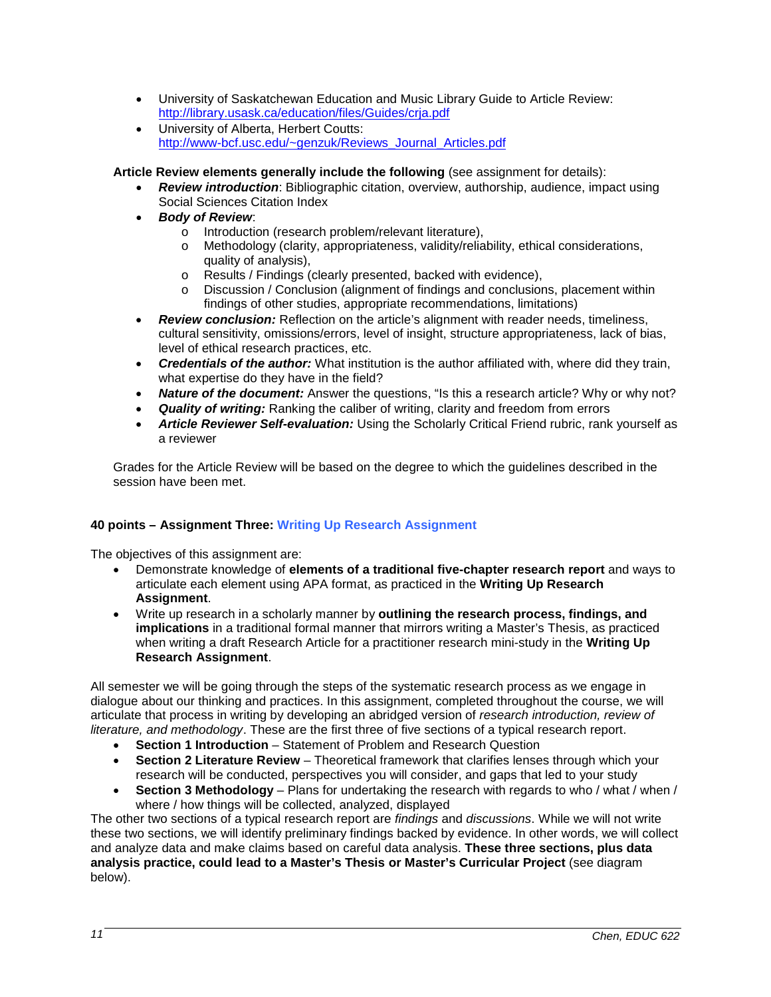- University of Saskatchewan Education and Music Library Guide to Article Review: <http://library.usask.ca/education/files/Guides/crja.pdf>
- University of Alberta, Herbert Coutts: [http://www-bcf.usc.edu/~genzuk/Reviews\\_Journal\\_Articles.pdf](http://www-bcf.usc.edu/%7Egenzuk/Reviews_Journal_Articles.pdf)

### **Article Review elements generally include the following** (see assignment for details):

- *Review introduction*: Bibliographic citation, overview, authorship, audience, impact using Social Sciences Citation Index
- *Body of Review*:
	- o Introduction (research problem/relevant literature),<br>
	o Methodology (clarity appropriateness validity/relia
	- Methodology (clarity, appropriateness, validity/reliability, ethical considerations, quality of analysis),
	- o Results / Findings (clearly presented, backed with evidence),<br>
	o Discussion / Conclusion (alignment of findings and conclusion
	- Discussion / Conclusion (alignment of findings and conclusions, placement within findings of other studies, appropriate recommendations, limitations)
- *Review conclusion:* Reflection on the article's alignment with reader needs, timeliness, cultural sensitivity, omissions/errors, level of insight, structure appropriateness, lack of bias, level of ethical research practices, etc.
- *Credentials of the author:* What institution is the author affiliated with, where did they train, what expertise do they have in the field?
- **Nature of the document:** Answer the questions, "Is this a research article? Why or why not?
- **Quality of writing:** Ranking the caliber of writing, clarity and freedom from errors
- *Article Reviewer Self-evaluation:* Using the Scholarly Critical Friend rubric, rank yourself as a reviewer

Grades for the Article Review will be based on the degree to which the guidelines described in the session have been met.

### **40 points – Assignment Three: Writing Up Research Assignment**

The objectives of this assignment are:

- Demonstrate knowledge of **elements of a traditional five-chapter research report** and ways to articulate each element using APA format, as practiced in the **Writing Up Research Assignment**.
- Write up research in a scholarly manner by **outlining the research process, findings, and implications** in a traditional formal manner that mirrors writing a Master's Thesis, as practiced when writing a draft Research Article for a practitioner research mini-study in the **Writing Up Research Assignment**.

All semester we will be going through the steps of the systematic research process as we engage in dialogue about our thinking and practices. In this assignment, completed throughout the course, we will articulate that process in writing by developing an abridged version of *research introduction, review of literature, and methodology*. These are the first three of five sections of a typical research report.

- **Section 1 Introduction** Statement of Problem and Research Question
- **Section 2 Literature Review** Theoretical framework that clarifies lenses through which your research will be conducted, perspectives you will consider, and gaps that led to your study
- **Section 3 Methodology** Plans for undertaking the research with regards to who / what / when / where / how things will be collected, analyzed, displayed

The other two sections of a typical research report are *findings* and *discussions*. While we will not write these two sections, we will identify preliminary findings backed by evidence. In other words, we will collect and analyze data and make claims based on careful data analysis. **These three sections, plus data analysis practice, could lead to a Master's Thesis or Master's Curricular Project** (see diagram below).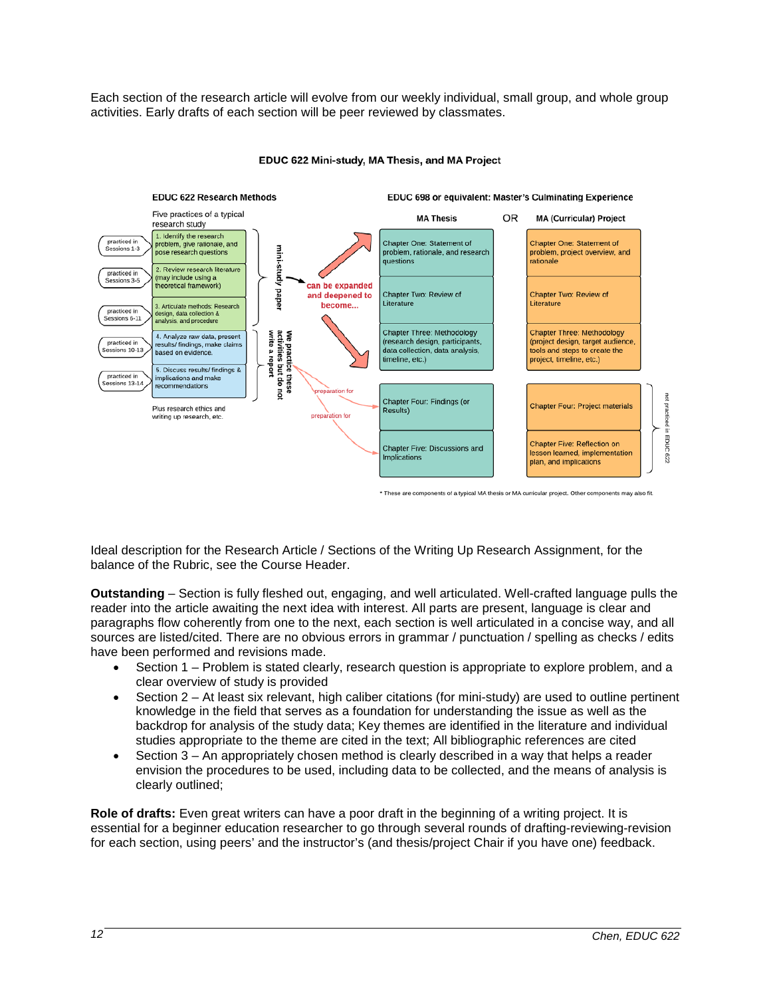Each section of the research article will evolve from our weekly individual, small group, and whole group activities. Early drafts of each section will be peer reviewed by classmates.



#### EDUC 622 Mini-study, MA Thesis, and MA Project

Ideal description for the Research Article / Sections of the Writing Up Research Assignment, for the balance of the Rubric, see the Course Header.

**Outstanding** – Section is fully fleshed out, engaging, and well articulated. Well-crafted language pulls the reader into the article awaiting the next idea with interest. All parts are present, language is clear and paragraphs flow coherently from one to the next, each section is well articulated in a concise way, and all sources are listed/cited. There are no obvious errors in grammar / punctuation / spelling as checks / edits have been performed and revisions made.

- Section 1 Problem is stated clearly, research question is appropriate to explore problem, and a clear overview of study is provided
- Section 2 At least six relevant, high caliber citations (for mini-study) are used to outline pertinent knowledge in the field that serves as a foundation for understanding the issue as well as the backdrop for analysis of the study data; Key themes are identified in the literature and individual studies appropriate to the theme are cited in the text; All bibliographic references are cited
- Section 3 An appropriately chosen method is clearly described in a way that helps a reader envision the procedures to be used, including data to be collected, and the means of analysis is clearly outlined;

**Role of drafts:** Even great writers can have a poor draft in the beginning of a writing project. It is essential for a beginner education researcher to go through several rounds of drafting-reviewing-revision for each section, using peers' and the instructor's (and thesis/project Chair if you have one) feedback.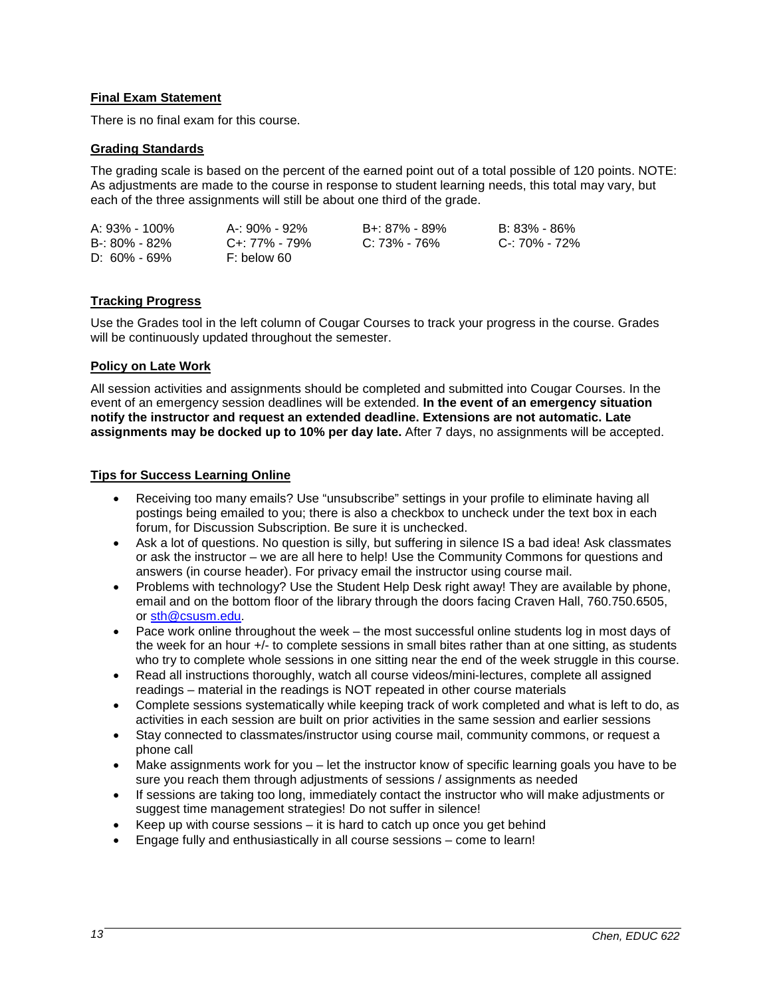## **Final Exam Statement**

There is no final exam for this course.

### **Grading Standards**

The grading scale is based on the percent of the earned point out of a total possible of 120 points. NOTE: As adjustments are made to the course in response to student learning needs, this total may vary, but each of the three assignments will still be about one third of the grade.

| A: 93% - 100%    | A-: 90% - 92% | B+: 87% - 89%    | B: 83% - 86%  |
|------------------|---------------|------------------|---------------|
| B-: 80% - 82%    | C+: 77% - 79% | $C: 73\% - 76\%$ | C-: 70% - 72% |
| $D: 60\% - 69\%$ | F: below 60   |                  |               |

## **Tracking Progress**

Use the Grades tool in the left column of Cougar Courses to track your progress in the course. Grades will be continuously updated throughout the semester.

### **Policy on Late Work**

All session activities and assignments should be completed and submitted into Cougar Courses. In the event of an emergency session deadlines will be extended. **In the event of an emergency situation notify the instructor and request an extended deadline. Extensions are not automatic. Late assignments may be docked up to 10% per day late.** After 7 days, no assignments will be accepted.

#### **Tips for Success Learning Online**

- Receiving too many emails? Use "unsubscribe" settings in your profile to eliminate having all postings being emailed to you; there is also a checkbox to uncheck under the text box in each forum, for Discussion Subscription. Be sure it is unchecked.
- Ask a lot of questions. No question is silly, but suffering in silence IS a bad idea! Ask classmates or ask the instructor – we are all here to help! Use the Community Commons for questions and answers (in course header). For privacy email the instructor using course mail.
- Problems with technology? Use the Student Help Desk right away! They are available by phone, email and on the bottom floor of the library through the doors facing Craven Hall, 760.750.6505, or [sth@csusm.edu.](mailto:sth@csusm.edu)
- Pace work online throughout the week the most successful online students log in most days of the week for an hour +/- to complete sessions in small bites rather than at one sitting, as students who try to complete whole sessions in one sitting near the end of the week struggle in this course.
- Read all instructions thoroughly, watch all course videos/mini-lectures, complete all assigned readings – material in the readings is NOT repeated in other course materials
- Complete sessions systematically while keeping track of work completed and what is left to do, as activities in each session are built on prior activities in the same session and earlier sessions
- Stay connected to classmates/instructor using course mail, community commons, or request a phone call
- Make assignments work for you let the instructor know of specific learning goals you have to be sure you reach them through adjustments of sessions / assignments as needed
- If sessions are taking too long, immediately contact the instructor who will make adjustments or suggest time management strategies! Do not suffer in silence!
- Keep up with course sessions  $-$  it is hard to catch up once you get behind
- Engage fully and enthusiastically in all course sessions come to learn!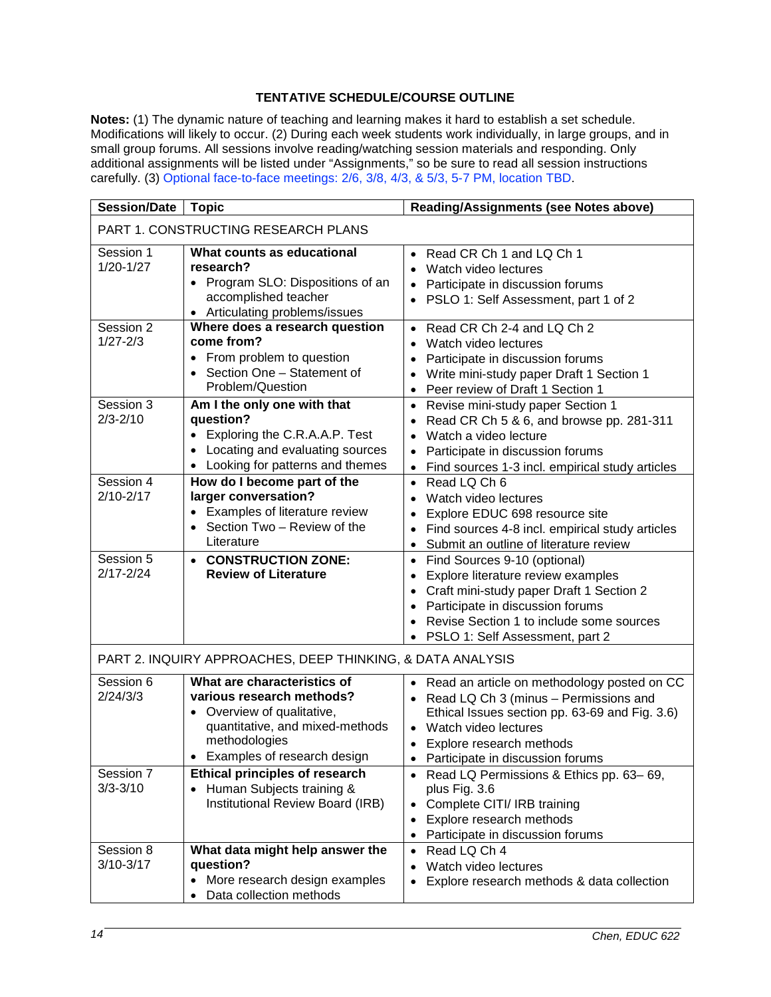## **TENTATIVE SCHEDULE/COURSE OUTLINE**

**Notes:** (1) The dynamic nature of teaching and learning makes it hard to establish a set schedule. Modifications will likely to occur. (2) During each week students work individually, in large groups, and in small group forums. All sessions involve reading/watching session materials and responding. Only additional assignments will be listed under "Assignments," so be sure to read all session instructions carefully. (3) Optional face-to-face meetings: 2/6, 3/8, 4/3, & 5/3, 5-7 PM, location TBD.

| <b>Session/Date</b><br><b>Topic</b>                        |                                                                                                                                                                           | Reading/Assignments (see Notes above)                                                                                                                                                                                                       |  |  |
|------------------------------------------------------------|---------------------------------------------------------------------------------------------------------------------------------------------------------------------------|---------------------------------------------------------------------------------------------------------------------------------------------------------------------------------------------------------------------------------------------|--|--|
| PART 1. CONSTRUCTING RESEARCH PLANS                        |                                                                                                                                                                           |                                                                                                                                                                                                                                             |  |  |
| Session 1<br>$1/20 - 1/27$                                 | What counts as educational<br>research?<br>• Program SLO: Dispositions of an<br>accomplished teacher<br>Articulating problems/issues                                      | Read CR Ch 1 and LQ Ch 1<br>$\bullet$<br>Watch video lectures<br>$\bullet$<br>Participate in discussion forums<br>PSLO 1: Self Assessment, part 1 of 2                                                                                      |  |  |
| Session 2<br>$1/27 - 2/3$                                  | Where does a research question<br>come from?<br>From problem to question<br>Section One - Statement of<br>Problem/Question                                                | Read CR Ch 2-4 and LQ Ch 2<br>$\bullet$<br>Watch video lectures<br>$\bullet$<br>Participate in discussion forums<br>$\bullet$<br>Write mini-study paper Draft 1 Section 1<br>$\bullet$<br>Peer review of Draft 1 Section 1<br>$\bullet$     |  |  |
| Session 3<br>$2/3 - 2/10$                                  | Am I the only one with that<br>question?<br>• Exploring the C.R.A.A.P. Test<br>Locating and evaluating sources<br>Looking for patterns and themes                         | Revise mini-study paper Section 1<br>$\bullet$<br>Read CR Ch 5 & 6, and browse pp. 281-311<br>Watch a video lecture<br>$\bullet$<br>Participate in discussion forums<br>Find sources 1-3 incl. empirical study articles                     |  |  |
| Session 4<br>$2/10 - 2/17$                                 | How do I become part of the<br>larger conversation?<br>• Examples of literature review<br>Section Two - Review of the<br>Literature                                       | Read LQ Ch 6<br>$\bullet$<br>Watch video lectures<br>Explore EDUC 698 resource site<br>Find sources 4-8 incl. empirical study articles<br>Submit an outline of literature review<br>$\bullet$                                               |  |  |
| Session 5<br>$2/17 - 2/24$                                 | • CONSTRUCTION ZONE:<br><b>Review of Literature</b>                                                                                                                       | Find Sources 9-10 (optional)<br>Explore literature review examples<br>Craft mini-study paper Draft 1 Section 2<br>Participate in discussion forums<br>Revise Section 1 to include some sources<br>PSLO 1: Self Assessment, part 2           |  |  |
| PART 2. INQUIRY APPROACHES, DEEP THINKING, & DATA ANALYSIS |                                                                                                                                                                           |                                                                                                                                                                                                                                             |  |  |
| Session 6<br>2/24/3/3                                      | What are characteristics of<br>various research methods?<br>• Overview of qualitative,<br>quantitative, and mixed-methods<br>methodologies<br>Examples of research design | Read an article on methodology posted on CC<br>Read LQ Ch 3 (minus - Permissions and<br>Ethical Issues section pp. 63-69 and Fig. 3.6)<br>Watch video lectures<br>$\bullet$<br>Explore research methods<br>Participate in discussion forums |  |  |
| Session 7<br>$3/3 - 3/10$                                  | <b>Ethical principles of research</b><br>Human Subjects training &<br>$\bullet$<br>Institutional Review Board (IRB)                                                       | Read LQ Permissions & Ethics pp. 63-69,<br>plus Fig. 3.6<br>Complete CITI/ IRB training<br>$\bullet$<br>Explore research methods<br>$\bullet$<br>Participate in discussion forums<br>$\bullet$                                              |  |  |
| Session 8<br>$3/10-3/17$                                   | What data might help answer the<br>question?<br>More research design examples<br>$\bullet$<br>Data collection methods<br>$\bullet$                                        | Read LQ Ch 4<br>$\bullet$<br>Watch video lectures<br>$\bullet$<br>Explore research methods & data collection                                                                                                                                |  |  |